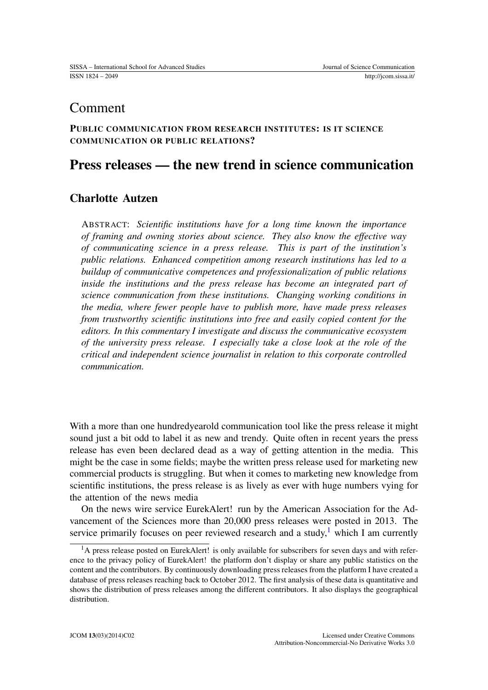## Comment

### PUBLIC COMMUNICATION FROM RESEARCH INSTITUTES: IS IT SCIENCE COMMUNICATION OR PUBLIC RELATIONS?

# Press releases — the new trend in science communication

### Charlotte Autzen

ABSTRACT: *Scientific institutions have for a long time known the importance of framing and owning stories about science. They also know the effective way of communicating science in a press release. This is part of the institution's public relations. Enhanced competition among research institutions has led to a buildup of communicative competences and professionalization of public relations inside the institutions and the press release has become an integrated part of science communication from these institutions. Changing working conditions in the media, where fewer people have to publish more, have made press releases from trustworthy scientific institutions into free and easily copied content for the editors. In this commentary I investigate and discuss the communicative ecosystem of the university press release. I especially take a close look at the role of the critical and independent science journalist in relation to this corporate controlled communication.*

With a more than one hundredyearold communication tool like the press release it might sound just a bit odd to label it as new and trendy. Quite often in recent years the press release has even been declared dead as a way of getting attention in the media. This might be the case in some fields; maybe the written press release used for marketing new commercial products is struggling. But when it comes to marketing new knowledge from scientific institutions, the press release is as lively as ever with huge numbers vying for the attention of the news media

On the news wire service EurekAlert! run by the American Association for the Advancement of the Sciences more than 20,000 press releases were posted in 2013. The service primarily focuses on peer reviewed research and a study,<sup>[1](#page-0-0)</sup> which I am currently

<span id="page-0-0"></span><sup>&</sup>lt;sup>1</sup>A press release posted on EurekAlert! is only available for subscribers for seven days and with reference to the privacy policy of EurekAlert! the platform don't display or share any public statistics on the content and the contributors. By continuously downloading press releases from the platform I have created a database of press releases reaching back to October 2012. The first analysis of these data is quantitative and shows the distribution of press releases among the different contributors. It also displays the geographical distribution.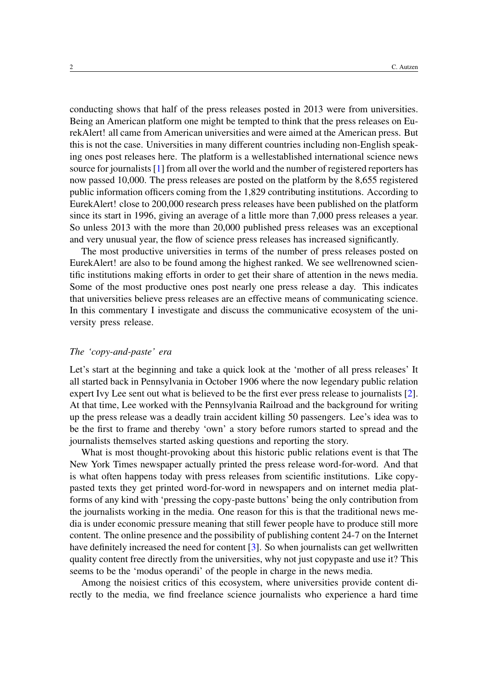conducting shows that half of the press releases posted in 2013 were from universities. Being an American platform one might be tempted to think that the press releases on EurekAlert! all came from American universities and were aimed at the American press. But this is not the case. Universities in many different countries including non-English speaking ones post releases here. The platform is a wellestablished international science news source for journalists [\[1\]](#page-6-0) from all over the world and the number of registered reporters has now passed 10,000. The press releases are posted on the platform by the 8,655 registered public information officers coming from the 1,829 contributing institutions. According to EurekAlert! close to 200,000 research press releases have been published on the platform since its start in 1996, giving an average of a little more than 7,000 press releases a year. So unless 2013 with the more than 20,000 published press releases was an exceptional and very unusual year, the flow of science press releases has increased significantly.

The most productive universities in terms of the number of press releases posted on EurekAlert! are also to be found among the highest ranked. We see wellrenowned scientific institutions making efforts in order to get their share of attention in the news media. Some of the most productive ones post nearly one press release a day. This indicates that universities believe press releases are an effective means of communicating science. In this commentary I investigate and discuss the communicative ecosystem of the university press release.

#### *The 'copy-and-paste' era*

Let's start at the beginning and take a quick look at the 'mother of all press releases' It all started back in Pennsylvania in October 1906 where the now legendary public relation expert Ivy Lee sent out what is believed to be the first ever press release to journalists [\[2\]](#page-6-1). At that time, Lee worked with the Pennsylvania Railroad and the background for writing up the press release was a deadly train accident killing 50 passengers. Lee's idea was to be the first to frame and thereby 'own' a story before rumors started to spread and the journalists themselves started asking questions and reporting the story.

What is most thought-provoking about this historic public relations event is that The New York Times newspaper actually printed the press release word-for-word. And that is what often happens today with press releases from scientific institutions. Like copypasted texts they get printed word-for-word in newspapers and on internet media platforms of any kind with 'pressing the copy-paste buttons' being the only contribution from the journalists working in the media. One reason for this is that the traditional news media is under economic pressure meaning that still fewer people have to produce still more content. The online presence and the possibility of publishing content 24-7 on the Internet have definitely increased the need for content [\[3\]](#page-6-2). So when journalists can get wellwritten quality content free directly from the universities, why not just copypaste and use it? This seems to be the 'modus operandi' of the people in charge in the news media.

Among the noisiest critics of this ecosystem, where universities provide content directly to the media, we find freelance science journalists who experience a hard time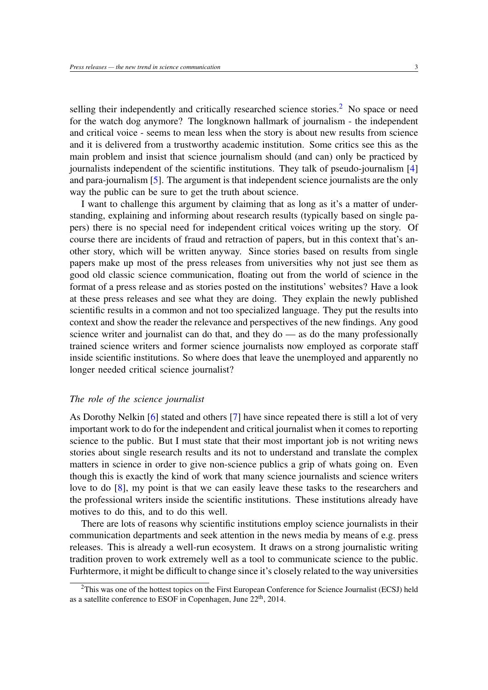selling their independently and critically researched science stories.<sup>[2](#page-2-0)</sup> No space or need for the watch dog anymore? The longknown hallmark of journalism - the independent and critical voice - seems to mean less when the story is about new results from science and it is delivered from a trustworthy academic institution. Some critics see this as the main problem and insist that science journalism should (and can) only be practiced by journalists independent of the scientific institutions. They talk of pseudo-journalism [\[4\]](#page-6-3) and para-journalism [\[5\]](#page-6-4). The argument is that independent science journalists are the only way the public can be sure to get the truth about science.

I want to challenge this argument by claiming that as long as it's a matter of understanding, explaining and informing about research results (typically based on single papers) there is no special need for independent critical voices writing up the story. Of course there are incidents of fraud and retraction of papers, but in this context that's another story, which will be written anyway. Since stories based on results from single papers make up most of the press releases from universities why not just see them as good old classic science communication, floating out from the world of science in the format of a press release and as stories posted on the institutions' websites? Have a look at these press releases and see what they are doing. They explain the newly published scientific results in a common and not too specialized language. They put the results into context and show the reader the relevance and perspectives of the new findings. Any good science writer and journalist can do that, and they do — as do the many professionally trained science writers and former science journalists now employed as corporate staff inside scientific institutions. So where does that leave the unemployed and apparently no longer needed critical science journalist?

#### *The role of the science journalist*

As Dorothy Nelkin [\[6\]](#page-6-5) stated and others [\[7\]](#page-6-6) have since repeated there is still a lot of very important work to do for the independent and critical journalist when it comes to reporting science to the public. But I must state that their most important job is not writing news stories about single research results and its not to understand and translate the complex matters in science in order to give non-science publics a grip of whats going on. Even though this is exactly the kind of work that many science journalists and science writers love to do [\[8\]](#page-6-7), my point is that we can easily leave these tasks to the researchers and the professional writers inside the scientific institutions. These institutions already have motives to do this, and to do this well.

There are lots of reasons why scientific institutions employ science journalists in their communication departments and seek attention in the news media by means of e.g. press releases. This is already a well-run ecosystem. It draws on a strong journalistic writing tradition proven to work extremely well as a tool to communicate science to the public. Furhtermore, it might be difficult to change since it's closely related to the way universities

<span id="page-2-0"></span> $2$ This was one of the hottest topics on the First European Conference for Science Journalist (ECSJ) held as a satellite conference to ESOF in Copenhagen, June 22<sup>th</sup>, 2014.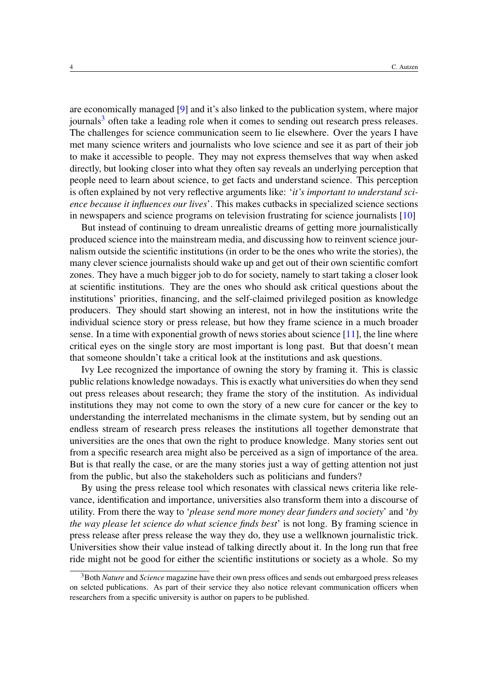are economically managed [\[9\]](#page-6-8) and it's also linked to the publication system, where major journals<sup>[3](#page-3-0)</sup> often take a leading role when it comes to sending out research press releases. The challenges for science communication seem to lie elsewhere. Over the years I have met many science writers and journalists who love science and see it as part of their job to make it accessible to people. They may not express themselves that way when asked directly, but looking closer into what they often say reveals an underlying perception that people need to learn about science, to get facts and understand science. This perception is often explained by not very reflective arguments like: '*it's important to understand science because it influences our lives*'. This makes cutbacks in specialized science sections in newspapers and science programs on television frustrating for science journalists [\[10\]](#page-6-9)

But instead of continuing to dream unrealistic dreams of getting more journalistically produced science into the mainstream media, and discussing how to reinvent science journalism outside the scientific institutions (in order to be the ones who write the stories), the many clever science journalists should wake up and get out of their own scientific comfort zones. They have a much bigger job to do for society, namely to start taking a closer look at scientific institutions. They are the ones who should ask critical questions about the institutions' priorities, financing, and the self-claimed privileged position as knowledge producers. They should start showing an interest, not in how the institutions write the individual science story or press release, but how they frame science in a much broader sense. In a time with exponential growth of news stories about science [\[11\]](#page-6-10), the line where critical eyes on the single story are most important is long past. But that doesn't mean that someone shouldn't take a critical look at the institutions and ask questions.

Ivy Lee recognized the importance of owning the story by framing it. This is classic public relations knowledge nowadays. This is exactly what universities do when they send out press releases about research; they frame the story of the institution. As individual institutions they may not come to own the story of a new cure for cancer or the key to understanding the interrelated mechanisms in the climate system, but by sending out an endless stream of research press releases the institutions all together demonstrate that universities are the ones that own the right to produce knowledge. Many stories sent out from a specific research area might also be perceived as a sign of importance of the area. But is that really the case, or are the many stories just a way of getting attention not just from the public, but also the stakeholders such as politicians and funders?

By using the press release tool which resonates with classical news criteria like relevance, identification and importance, universities also transform them into a discourse of utility. From there the way to '*please send more money dear funders and society*' and '*by the way please let science do what science finds best*' is not long. By framing science in press release after press release the way they do, they use a wellknown journalistic trick. Universities show their value instead of talking directly about it. In the long run that free ride might not be good for either the scientific institutions or society as a whole. So my

<span id="page-3-0"></span><sup>3</sup>Both *Nature* and *Science* magazine have their own press offices and sends out embargoed press releases on selcted publications. As part of their service they also notice relevant communication officers when researchers from a specific university is author on papers to be published.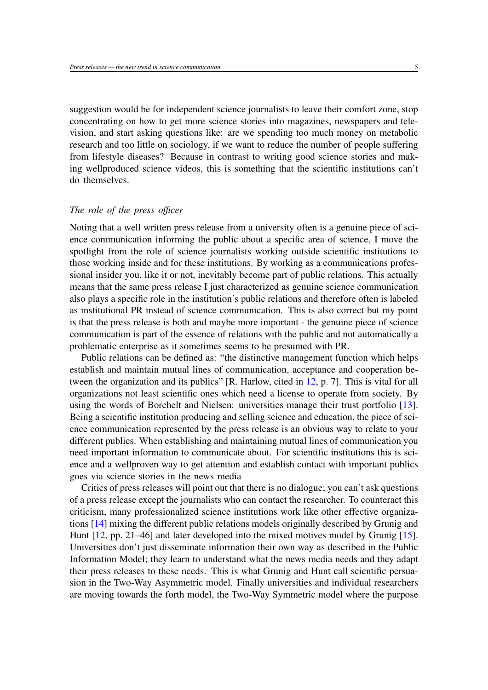suggestion would be for independent science journalists to leave their comfort zone, stop concentrating on how to get more science stories into magazines, newspapers and television, and start asking questions like: are we spending too much money on metabolic research and too little on sociology, if we want to reduce the number of people suffering from lifestyle diseases? Because in contrast to writing good science stories and making wellproduced science videos, this is something that the scientific institutions can't do themselves.

#### *The role of the press officer*

Noting that a well written press release from a university often is a genuine piece of science communication informing the public about a specific area of science, I move the spotlight from the role of science journalists working outside scientific institutions to those working inside and for these institutions. By working as a communications professional insider you, like it or not, inevitably become part of public relations. This actually means that the same press release I just characterized as genuine science communication also plays a specific role in the institution's public relations and therefore often is labeled as institutional PR instead of science communication. This is also correct but my point is that the press release is both and maybe more important - the genuine piece of science communication is part of the essence of relations with the public and not automatically a problematic enterprise as it sometimes seems to be presumed with PR.

Public relations can be defined as: "the distinctive management function which helps establish and maintain mutual lines of communication, acceptance and cooperation between the organization and its publics" [R. Harlow, cited in [12,](#page-6-11) p. 7]. This is vital for all organizations not least scientific ones which need a license to operate from society. By using the words of Borchelt and Nielsen: universities manage their trust portfolio [\[13\]](#page-6-12). Being a scientific institution producing and selling science and education, the piece of science communication represented by the press release is an obvious way to relate to your different publics. When establishing and maintaining mutual lines of communication you need important information to communicate about. For scientific institutions this is science and a wellproven way to get attention and establish contact with important publics goes via science stories in the news media

Critics of press releases will point out that there is no dialogue; you can't ask questions of a press release except the journalists who can contact the researcher. To counteract this criticism, many professionalized science institutions work like other effective organizations [\[14\]](#page-6-13) mixing the different public relations models originally described by Grunig and Hunt [\[12,](#page-6-11) pp. 21–46] and later developed into the mixed motives model by Grunig [\[15\]](#page-6-14). Universities don't just disseminate information their own way as described in the Public Information Model; they learn to understand what the news media needs and they adapt their press releases to these needs. This is what Grunig and Hunt call scientific persuasion in the Two-Way Asymmetric model. Finally universities and individual researchers are moving towards the forth model, the Two-Way Symmetric model where the purpose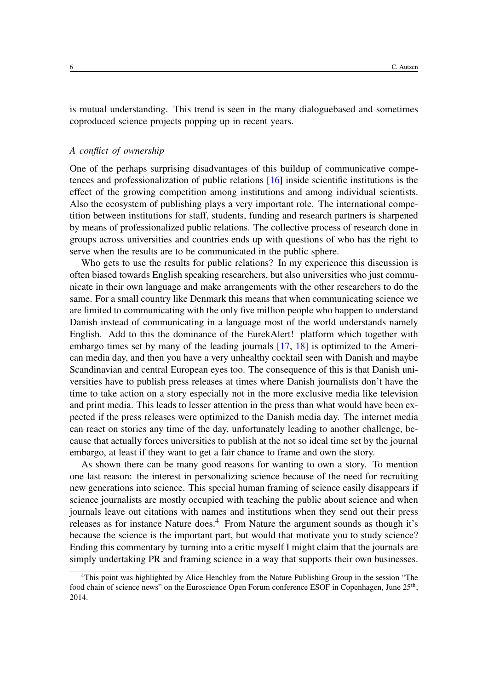is mutual understanding. This trend is seen in the many dialoguebased and sometimes coproduced science projects popping up in recent years.

#### *A conflict of ownership*

One of the perhaps surprising disadvantages of this buildup of communicative competences and professionalization of public relations [\[16\]](#page-7-0) inside scientific institutions is the effect of the growing competition among institutions and among individual scientists. Also the ecosystem of publishing plays a very important role. The international competition between institutions for staff, students, funding and research partners is sharpened by means of professionalized public relations. The collective process of research done in groups across universities and countries ends up with questions of who has the right to serve when the results are to be communicated in the public sphere.

Who gets to use the results for public relations? In my experience this discussion is often biased towards English speaking researchers, but also universities who just communicate in their own language and make arrangements with the other researchers to do the same. For a small country like Denmark this means that when communicating science we are limited to communicating with the only five million people who happen to understand Danish instead of communicating in a language most of the world understands namely English. Add to this the dominance of the EurekAlert! platform which together with embargo times set by many of the leading journals [\[17,](#page-7-1) [18\]](#page-7-2) is optimized to the American media day, and then you have a very unhealthy cocktail seen with Danish and maybe Scandinavian and central European eyes too. The consequence of this is that Danish universities have to publish press releases at times where Danish journalists don't have the time to take action on a story especially not in the more exclusive media like television and print media. This leads to lesser attention in the press than what would have been expected if the press releases were optimized to the Danish media day. The internet media can react on stories any time of the day, unfortunately leading to another challenge, because that actually forces universities to publish at the not so ideal time set by the journal embargo, at least if they want to get a fair chance to frame and own the story.

As shown there can be many good reasons for wanting to own a story. To mention one last reason: the interest in personalizing science because of the need for recruiting new generations into science. This special human framing of science easily disappears if science journalists are mostly occupied with teaching the public about science and when journals leave out citations with names and institutions when they send out their press releases as for instance Nature does.<sup>[4](#page-5-0)</sup> From Nature the argument sounds as though it's because the science is the important part, but would that motivate you to study science? Ending this commentary by turning into a critic myself I might claim that the journals are simply undertaking PR and framing science in a way that supports their own businesses.

<span id="page-5-0"></span><sup>4</sup>This point was highlighted by Alice Henchley from the Nature Publishing Group in the session "The food chain of science news" on the Euroscience Open Forum conference ESOF in Copenhagen, June 25<sup>th</sup>, 2014.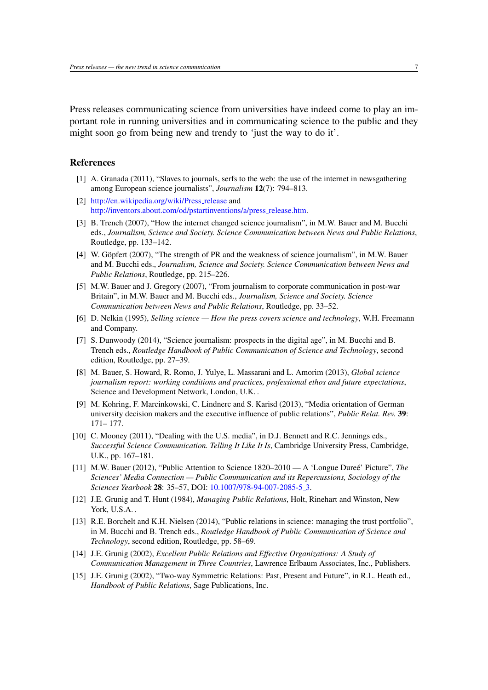Press releases communicating science from universities have indeed come to play an important role in running universities and in communicating science to the public and they might soon go from being new and trendy to 'just the way to do it'.

#### References

- <span id="page-6-0"></span>[1] A. Granada (2011), "Slaves to journals, serfs to the web: the use of the internet in newsgathering among European science journalists", *Journalism* 12(7): 794–813.
- <span id="page-6-1"></span>[2] [http://en.wikipedia.org/wiki/Press](http://en.wikipedia.org/wiki/Press_release)\_release and [http://inventors.about.com/od/pstartinventions/a/press](http://inventors.about.com/od/pstartinventions/a/press_release.htm) release.htm.
- <span id="page-6-2"></span>[3] B. Trench (2007), "How the internet changed science journalism", in M.W. Bauer and M. Bucchi eds., *Journalism, Science and Society. Science Communication between News and Public Relations*, Routledge, pp. 133–142.
- <span id="page-6-3"></span>[4] W. Göpfert (2007), "The strength of PR and the weakness of science journalism", in M.W. Bauer and M. Bucchi eds., *Journalism, Science and Society. Science Communication between News and Public Relations*, Routledge, pp. 215–226.
- <span id="page-6-4"></span>[5] M.W. Bauer and J. Gregory (2007), "From journalism to corporate communication in post-war Britain", in M.W. Bauer and M. Bucchi eds., *Journalism, Science and Society. Science Communication between News and Public Relations*, Routledge, pp. 33–52.
- <span id="page-6-5"></span>[6] D. Nelkin (1995), *Selling science — How the press covers science and technology*, W.H. Freemann and Company.
- <span id="page-6-6"></span>[7] S. Dunwoody (2014), "Science journalism: prospects in the digital age", in M. Bucchi and B. Trench eds., *Routledge Handbook of Public Communication of Science and Technology*, second edition, Routledge, pp. 27–39.
- <span id="page-6-7"></span>[8] M. Bauer, S. Howard, R. Romo, J. Yulye, L. Massarani and L. Amorim (2013), *Global science journalism report: working conditions and practices, professional ethos and future expectations*, Science and Development Network, London, U.K. .
- <span id="page-6-8"></span>[9] M. Kohring, F. Marcinkowski, C. Lindnerc and S. Karisd (2013), "Media orientation of German university decision makers and the executive influence of public relations", *Public Relat. Rev.* 39: 171– 177.
- <span id="page-6-9"></span>[10] C. Mooney (2011), "Dealing with the U.S. media", in D.J. Bennett and R.C. Jennings eds., *Successful Science Communication. Telling It Like It Is*, Cambridge University Press, Cambridge, U.K., pp. 167–181.
- <span id="page-6-10"></span>[11] M.W. Bauer (2012), "Public Attention to Science 1820–2010 — A 'Longue Duree' Picture", ´ *The Sciences' Media Connection — Public Communication and its Repercussions, Sociology of the Sciences Yearbook* 28: 35–57, DOI: [10.1007/978-94-007-2085-5](http://dx.doi.org/10.1007/978-94-007-2085-5_3) 3.
- <span id="page-6-11"></span>[12] J.E. Grunig and T. Hunt (1984), *Managing Public Relations*, Holt, Rinehart and Winston, New York, U.S.A. .
- <span id="page-6-12"></span>[13] R.E. Borchelt and K.H. Nielsen (2014), "Public relations in science: managing the trust portfolio", in M. Bucchi and B. Trench eds., *Routledge Handbook of Public Communication of Science and Technology*, second edition, Routledge, pp. 58–69.
- <span id="page-6-13"></span>[14] J.E. Grunig (2002), *Excellent Public Relations and Effective Organizations: A Study of Communication Management in Three Countries*, Lawrence Erlbaum Associates, Inc., Publishers.
- <span id="page-6-14"></span>[15] J.E. Grunig (2002), "Two-way Symmetric Relations: Past, Present and Future", in R.L. Heath ed., *Handbook of Public Relations*, Sage Publications, Inc.